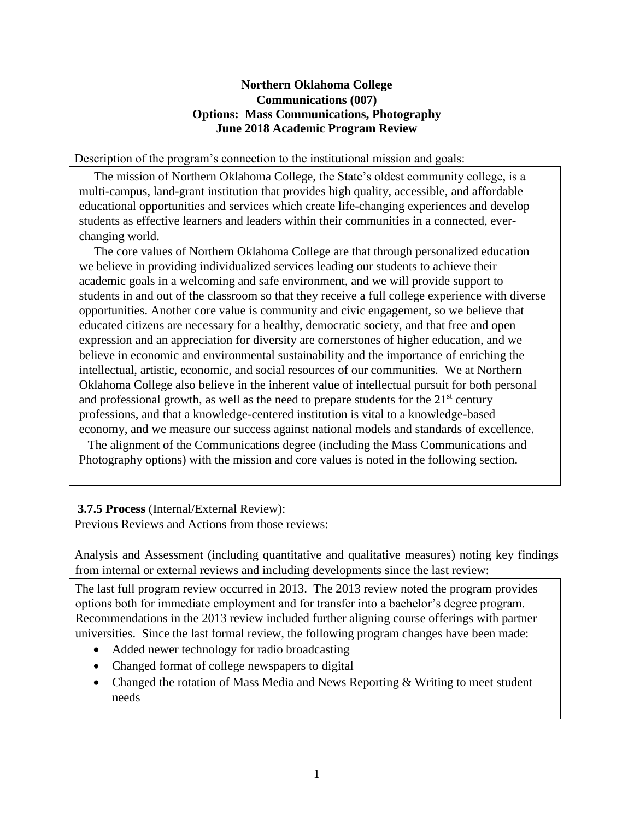#### **Northern Oklahoma College Communications (007) Options: Mass Communications, Photography June 2018 Academic Program Review**

Description of the program's connection to the institutional mission and goals:

 The mission of Northern Oklahoma College, the State's oldest community college, is a multi-campus, land-grant institution that provides high quality, accessible, and affordable educational opportunities and services which create life-changing experiences and develop students as effective learners and leaders within their communities in a connected, everchanging world.

 The core values of Northern Oklahoma College are that through personalized education we believe in providing individualized services leading our students to achieve their academic goals in a welcoming and safe environment, and we will provide support to students in and out of the classroom so that they receive a full college experience with diverse opportunities. Another core value is community and civic engagement, so we believe that educated citizens are necessary for a healthy, democratic society, and that free and open expression and an appreciation for diversity are cornerstones of higher education, and we believe in economic and environmental sustainability and the importance of enriching the intellectual, artistic, economic, and social resources of our communities. We at Northern Oklahoma College also believe in the inherent value of intellectual pursuit for both personal and professional growth, as well as the need to prepare students for the  $21<sup>st</sup>$  century professions, and that a knowledge-centered institution is vital to a knowledge-based economy, and we measure our success against national models and standards of excellence.

 The alignment of the Communications degree (including the Mass Communications and Photography options) with the mission and core values is noted in the following section.

## **3.7.5 Process** (Internal/External Review):

Previous Reviews and Actions from those reviews:

Analysis and Assessment (including quantitative and qualitative measures) noting key findings from internal or external reviews and including developments since the last review:

The last full program review occurred in 2013. The 2013 review noted the program provides options both for immediate employment and for transfer into a bachelor's degree program. Recommendations in the 2013 review included further aligning course offerings with partner universities. Since the last formal review, the following program changes have been made:

- Added newer technology for radio broadcasting
- Changed format of college newspapers to digital
- Changed the rotation of Mass Media and News Reporting & Writing to meet student needs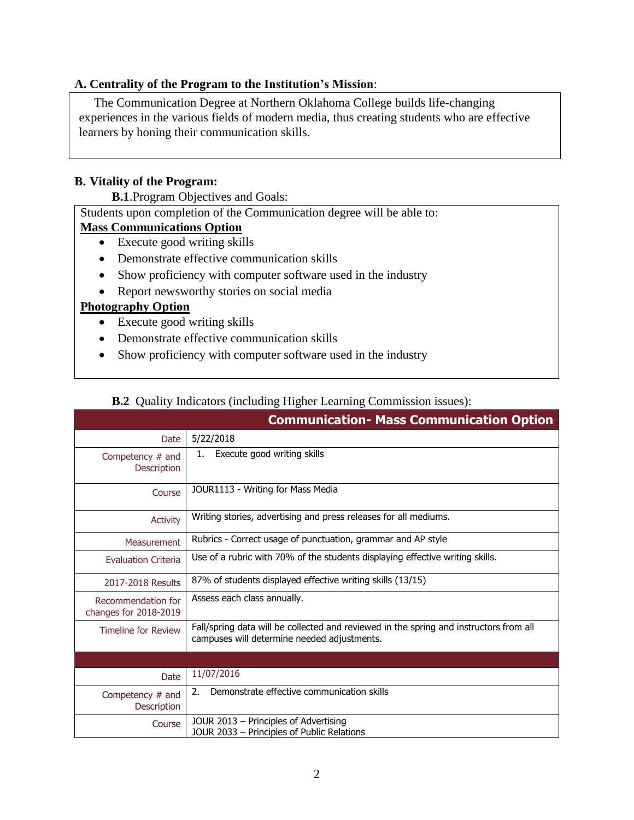#### **A. Centrality of the Program to the Institution's Mission**:

 The Communication Degree at Northern Oklahoma College builds life-changing experiences in the various fields of modern media, thus creating students who are effective learners by honing their communication skills.

#### **B. Vitality of the Program:**

**B.1**.Program Objectives and Goals:

Students upon completion of the Communication degree will be able to:

#### **Mass Communications Option**

- Execute good writing skills
- Demonstrate effective communication skills
- Show proficiency with computer software used in the industry
- Report newsworthy stories on social media

#### **Photography Option**

- Execute good writing skills
- Demonstrate effective communication skills
- Show proficiency with computer software used in the industry

## **B.2** Quality Indicators (including Higher Learning Commission issues):

|                                             | <b>Communication- Mass Communication Option</b>                                                                                       |
|---------------------------------------------|---------------------------------------------------------------------------------------------------------------------------------------|
| Date                                        | 5/22/2018                                                                                                                             |
| Competency $#$ and<br>Description           | Execute good writing skills<br>1.                                                                                                     |
| Course                                      | JOUR1113 - Writing for Mass Media                                                                                                     |
| <b>Activity</b>                             | Writing stories, advertising and press releases for all mediums.                                                                      |
| <b>Measurement</b>                          | Rubrics - Correct usage of punctuation, grammar and AP style                                                                          |
| <b>Evaluation Criteria</b>                  | Use of a rubric with 70% of the students displaying effective writing skills.                                                         |
| 2017-2018 Results                           | 87% of students displayed effective writing skills (13/15)                                                                            |
| Recommendation for<br>changes for 2018-2019 | Assess each class annually.                                                                                                           |
| <b>Timeline for Review</b>                  | Fall/spring data will be collected and reviewed in the spring and instructors from all<br>campuses will determine needed adjustments. |
|                                             |                                                                                                                                       |
| Date                                        | 11/07/2016                                                                                                                            |
| Competency # and<br>Description             | Demonstrate effective communication skills<br>2.                                                                                      |
| Course                                      | JOUR 2013 - Principles of Advertising<br>JOUR 2033 - Principles of Public Relations                                                   |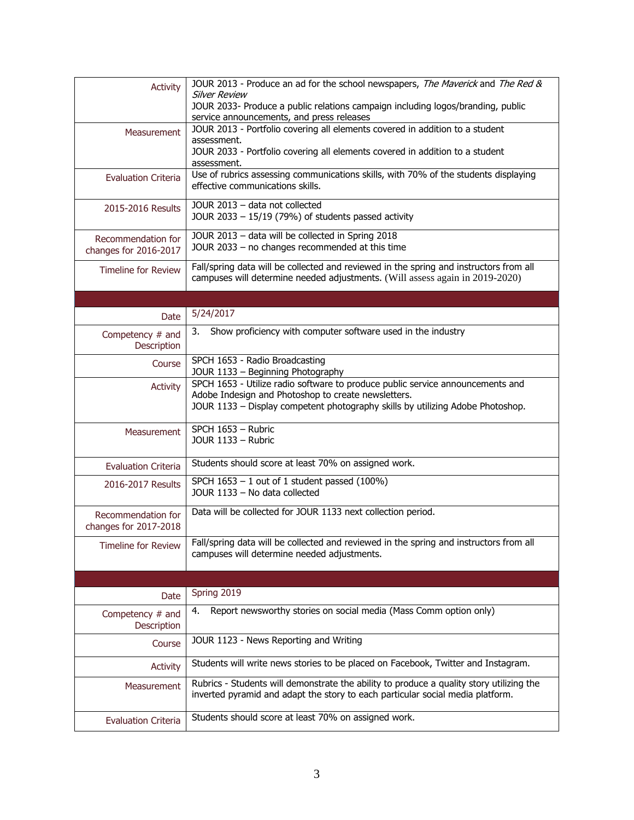| <b>Activity</b>                             | JOUR 2013 - Produce an ad for the school newspapers, The Maverick and The Red &<br><b>Silver Review</b><br>JOUR 2033- Produce a public relations campaign including logos/branding, public                              |
|---------------------------------------------|-------------------------------------------------------------------------------------------------------------------------------------------------------------------------------------------------------------------------|
|                                             | service announcements, and press releases<br>JOUR 2013 - Portfolio covering all elements covered in addition to a student                                                                                               |
| Measurement                                 | assessment.                                                                                                                                                                                                             |
|                                             | JOUR 2033 - Portfolio covering all elements covered in addition to a student<br>assessment.                                                                                                                             |
| <b>Evaluation Criteria</b>                  | Use of rubrics assessing communications skills, with 70% of the students displaying<br>effective communications skills.                                                                                                 |
| 2015-2016 Results                           | JOUR 2013 - data not collected<br>JOUR $2033 - 15/19$ (79%) of students passed activity                                                                                                                                 |
| Recommendation for<br>changes for 2016-2017 | JOUR 2013 - data will be collected in Spring 2018<br>JOUR 2033 - no changes recommended at this time                                                                                                                    |
| <b>Timeline for Review</b>                  | Fall/spring data will be collected and reviewed in the spring and instructors from all<br>campuses will determine needed adjustments. (Will assess again in 2019-2020)                                                  |
|                                             |                                                                                                                                                                                                                         |
| Date                                        | 5/24/2017                                                                                                                                                                                                               |
| Competency # and<br>Description             | Show proficiency with computer software used in the industry<br>3.                                                                                                                                                      |
| Course                                      | SPCH 1653 - Radio Broadcasting<br>JOUR 1133 - Beginning Photography                                                                                                                                                     |
| Activity                                    | SPCH 1653 - Utilize radio software to produce public service announcements and<br>Adobe Indesign and Photoshop to create newsletters.<br>JOUR 1133 - Display competent photography skills by utilizing Adobe Photoshop. |
| Measurement                                 | SPCH 1653 - Rubric<br>JOUR 1133 - Rubric                                                                                                                                                                                |
| <b>Evaluation Criteria</b>                  | Students should score at least 70% on assigned work.                                                                                                                                                                    |
| 2016-2017 Results                           | SPCH $1653 - 1$ out of 1 student passed (100%)<br>JOUR 1133 - No data collected                                                                                                                                         |
| Recommendation for<br>changes for 2017-2018 | Data will be collected for JOUR 1133 next collection period.                                                                                                                                                            |
| <b>Timeline for Review</b>                  | Fall/spring data will be collected and reviewed in the spring and instructors from all<br>campuses will determine needed adjustments.                                                                                   |
|                                             |                                                                                                                                                                                                                         |
| Date                                        | Spring 2019                                                                                                                                                                                                             |
| Competency $#$ and<br>Description           | Report newsworthy stories on social media (Mass Comm option only)<br>4.                                                                                                                                                 |
| Course                                      | JOUR 1123 - News Reporting and Writing                                                                                                                                                                                  |
| <b>Activity</b>                             | Students will write news stories to be placed on Facebook, Twitter and Instagram.                                                                                                                                       |
| Measurement                                 | Rubrics - Students will demonstrate the ability to produce a quality story utilizing the<br>inverted pyramid and adapt the story to each particular social media platform.                                              |
| <b>Evaluation Criteria</b>                  | Students should score at least 70% on assigned work.                                                                                                                                                                    |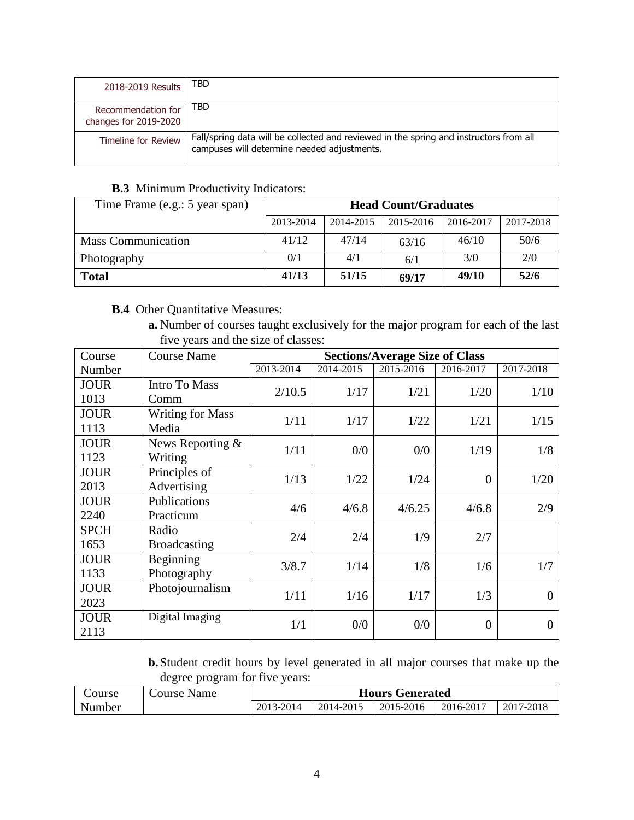| 2018-2019 Results                           | TBD                                                                                                                                   |
|---------------------------------------------|---------------------------------------------------------------------------------------------------------------------------------------|
| Recommendation for<br>changes for 2019-2020 | TBD                                                                                                                                   |
| Timeline for Review                         | Fall/spring data will be collected and reviewed in the spring and instructors from all<br>campuses will determine needed adjustments. |

## **B.3** Minimum Productivity Indicators:

| Time Frame (e.g.: 5 year span) | <b>Head Count/Graduates</b> |           |           |           |           |  |
|--------------------------------|-----------------------------|-----------|-----------|-----------|-----------|--|
|                                | 2013-2014                   | 2014-2015 | 2015-2016 | 2016-2017 | 2017-2018 |  |
| <b>Mass Communication</b>      | 41/12                       | 47/14     | 63/16     | 46/10     | 50/6      |  |
| Photography                    | 0/1                         | 4/1       | 6/1       | 3/0       | 2/0       |  |
| <b>Total</b>                   | 41/13                       | 51/15     | 69/17     | 49/10     | 52/6      |  |

# **B.4** Other Quantitative Measures:

**a.** Number of courses taught exclusively for the major program for each of the last five years and the size of classes:

| Course      | <b>Course Name</b>      |           |           | <b>Sections/Average Size of Class</b> |                |           |
|-------------|-------------------------|-----------|-----------|---------------------------------------|----------------|-----------|
| Number      |                         | 2013-2014 | 2014-2015 | 2015-2016                             | 2016-2017      | 2017-2018 |
| <b>JOUR</b> | Intro To Mass           | 2/10.5    | 1/17      | 1/21                                  | 1/20           | 1/10      |
| 1013        | Comm                    |           |           |                                       |                |           |
| <b>JOUR</b> | <b>Writing for Mass</b> | 1/11      | 1/17      | 1/22                                  | 1/21           | 1/15      |
| 1113        | Media                   |           |           |                                       |                |           |
| <b>JOUR</b> | News Reporting &        | 1/11      | 0/0       | 0/0                                   | 1/19           | 1/8       |
| 1123        | Writing                 |           |           |                                       |                |           |
| <b>JOUR</b> | Principles of           | 1/13      | 1/22      | 1/24                                  | $\overline{0}$ | 1/20      |
| 2013        | Advertising             |           |           |                                       |                |           |
| <b>JOUR</b> | Publications            | 4/6       | 4/6.8     | 4/6.25                                | 4/6.8          | 2/9       |
| 2240        | Practicum               |           |           |                                       |                |           |
| <b>SPCH</b> | Radio                   | 2/4       | 2/4       | 1/9                                   | 2/7            |           |
| 1653        | <b>Broadcasting</b>     |           |           |                                       |                |           |
| <b>JOUR</b> | Beginning               | 3/8.7     | 1/14      | 1/8                                   | 1/6            | 1/7       |
| 1133        | Photography             |           |           |                                       |                |           |
| <b>JOUR</b> | Photojournalism         | 1/11      | 1/16      | 1/17                                  | 1/3            | $\theta$  |
| 2023        |                         |           |           |                                       |                |           |
| <b>JOUR</b> | Digital Imaging         | 1/1       | 0/0       | 0/0                                   | $\overline{0}$ | 0         |
| 2113        |                         |           |           |                                       |                |           |

**b.**Student credit hours by level generated in all major courses that make up the degree program for five years:

| Course | Course Name | <b>Hours Generated</b> |           |           |           |           |
|--------|-------------|------------------------|-----------|-----------|-----------|-----------|
| Number |             | 2013-2014              | 2014-2015 | 2015-2016 | 2016-2017 | 2017-2018 |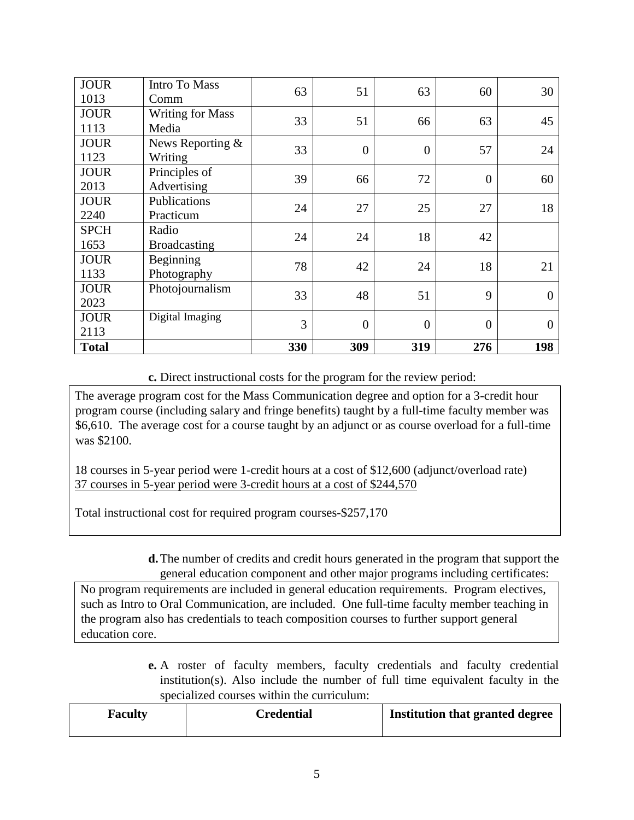| <b>JOUR</b><br>1013 | <b>Intro To Mass</b><br>Comm     | 63  | 51             | 63               | 60             | 30             |
|---------------------|----------------------------------|-----|----------------|------------------|----------------|----------------|
| <b>JOUR</b><br>1113 | <b>Writing for Mass</b><br>Media | 33  | 51             | 66               | 63             | 45             |
| <b>JOUR</b><br>1123 | News Reporting &<br>Writing      | 33  | $\overline{0}$ | $\boldsymbol{0}$ | 57             | 24             |
| <b>JOUR</b><br>2013 | Principles of<br>Advertising     | 39  | 66             | 72               | $\overline{0}$ | 60             |
| <b>JOUR</b><br>2240 | Publications<br>Practicum        | 24  | 27             | 25               | 27             | 18             |
| <b>SPCH</b><br>1653 | Radio<br><b>Broadcasting</b>     | 24  | 24             | 18               | 42             |                |
| <b>JOUR</b><br>1133 | Beginning<br>Photography         | 78  | 42             | 24               | 18             | 21             |
| <b>JOUR</b><br>2023 | Photojournalism                  | 33  | 48             | 51               | 9              | $\overline{0}$ |
| <b>JOUR</b><br>2113 | Digital Imaging                  | 3   | $\overline{0}$ | $\overline{0}$   | $\overline{0}$ | $\theta$       |
| <b>Total</b>        |                                  | 330 | 309            | 319              | 276            | 198            |

**c.** Direct instructional costs for the program for the review period:

The average program cost for the Mass Communication degree and option for a 3-credit hour program course (including salary and fringe benefits) taught by a full-time faculty member was \$6,610. The average cost for a course taught by an adjunct or as course overload for a full-time was \$2100.

18 courses in 5-year period were 1-credit hours at a cost of \$12,600 (adjunct/overload rate) 37 courses in 5-year period were 3-credit hours at a cost of \$244,570

Total instructional cost for required program courses-\$257,170

**d.**The number of credits and credit hours generated in the program that support the general education component and other major programs including certificates:

No program requirements are included in general education requirements. Program electives, such as Intro to Oral Communication, are included. One full-time faculty member teaching in the program also has credentials to teach composition courses to further support general education core.

> **e.** A roster of faculty members, faculty credentials and faculty credential institution(s). Also include the number of full time equivalent faculty in the specialized courses within the curriculum:

| Institution that granted degree<br>Credential<br><b>Faculty</b> |  |
|-----------------------------------------------------------------|--|
|-----------------------------------------------------------------|--|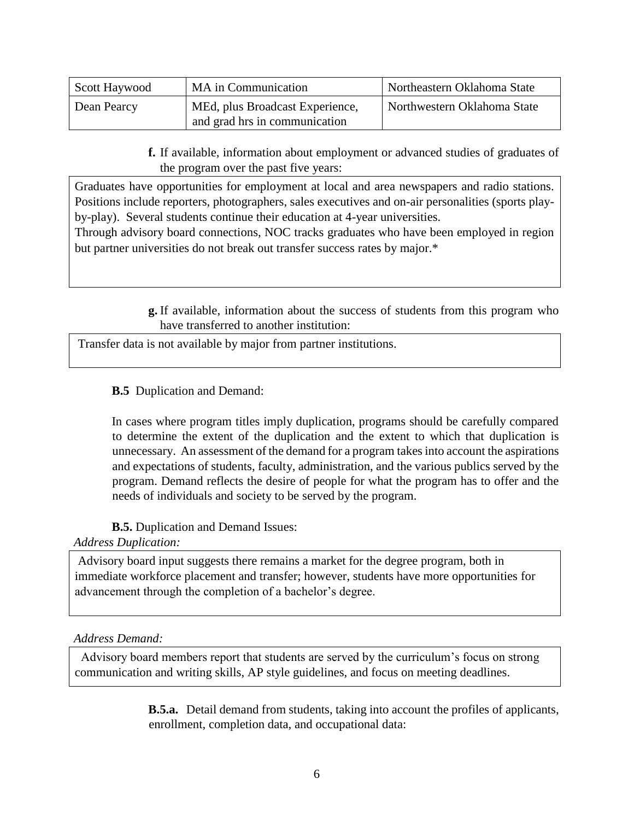| Scott Haywood | MA in Communication                                               | Northeastern Oklahoma State |
|---------------|-------------------------------------------------------------------|-----------------------------|
| Dean Pearcy   | 'MEd, plus Broadcast Experience,<br>and grad hrs in communication | Northwestern Oklahoma State |

**f.** If available, information about employment or advanced studies of graduates of the program over the past five years:

Graduates have opportunities for employment at local and area newspapers and radio stations. Positions include reporters, photographers, sales executives and on-air personalities (sports playby-play). Several students continue their education at 4-year universities.

Through advisory board connections, NOC tracks graduates who have been employed in region but partner universities do not break out transfer success rates by major.\*

> **g.** If available, information about the success of students from this program who have transferred to another institution:

Transfer data is not available by major from partner institutions.

# **B.5** Duplication and Demand:

In cases where program titles imply duplication, programs should be carefully compared to determine the extent of the duplication and the extent to which that duplication is unnecessary. An assessment of the demand for a program takes into account the aspirations and expectations of students, faculty, administration, and the various publics served by the program. Demand reflects the desire of people for what the program has to offer and the needs of individuals and society to be served by the program.

## **B.5.** Duplication and Demand Issues:

## *Address Duplication:*

Advisory board input suggests there remains a market for the degree program, both in immediate workforce placement and transfer; however, students have more opportunities for advancement through the completion of a bachelor's degree.

## *Address Demand:*

 Advisory board members report that students are served by the curriculum's focus on strong communication and writing skills, AP style guidelines, and focus on meeting deadlines.

> **B.5.a.** Detail demand from students, taking into account the profiles of applicants, enrollment, completion data, and occupational data: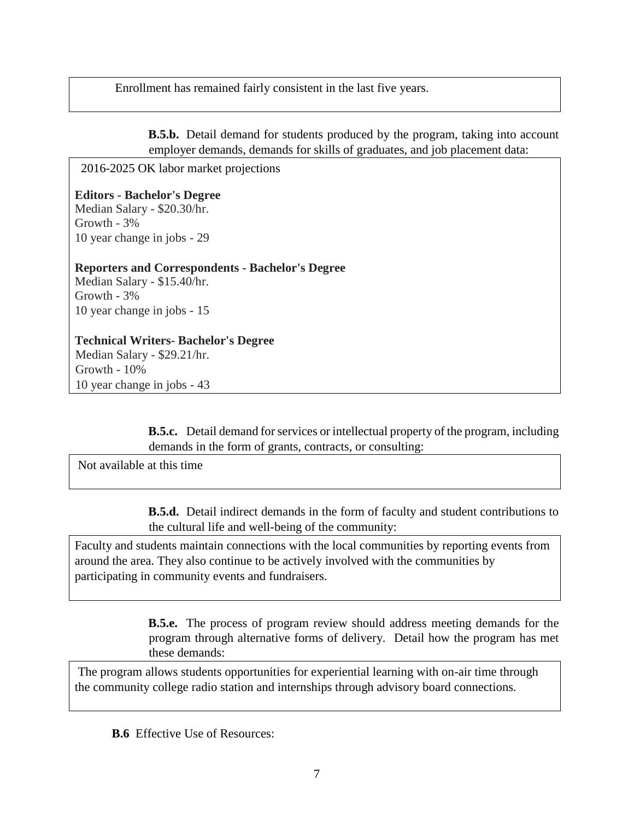Enrollment has remained fairly consistent in the last five years.

**B.5.b.** Detail demand for students produced by the program, taking into account employer demands, demands for skills of graduates, and job placement data:

2016-2025 OK labor market projections

**Editors - Bachelor's Degree** Median Salary - \$20.30/hr. Growth - 3% 10 year change in jobs - 29

**Reporters and Correspondents - Bachelor's Degree** Median Salary - \$15.40/hr. Growth - 3% 10 year change in jobs - 15

**Technical Writers- Bachelor's Degree** Median Salary - \$29.21/hr. Growth - 10% 10 year change in jobs - 43

> **B.5.c.** Detail demand for services or intellectual property of the program, including demands in the form of grants, contracts, or consulting:

Not available at this time

**B.5.d.** Detail indirect demands in the form of faculty and student contributions to the cultural life and well-being of the community:

Faculty and students maintain connections with the local communities by reporting events from around the area. They also continue to be actively involved with the communities by participating in community events and fundraisers.

> **B.5.e.** The process of program review should address meeting demands for the program through alternative forms of delivery. Detail how the program has met these demands:

The program allows students opportunities for experiential learning with on-air time through the community college radio station and internships through advisory board connections.

**B.6** Effective Use of Resources: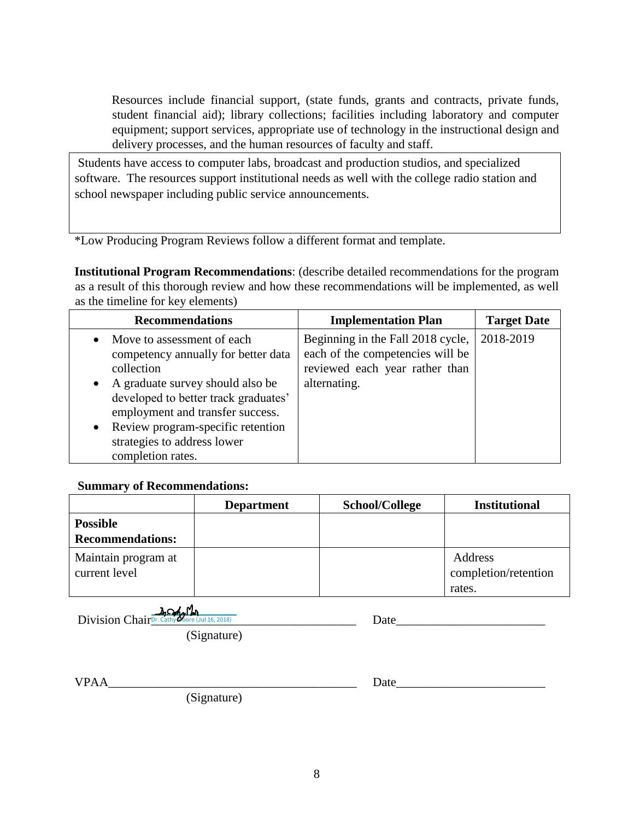Resources include financial support, (state funds, grants and contracts, private funds, student financial aid); library collections; facilities including laboratory and computer equipment; support services, appropriate use of technology in the instructional design and delivery processes, and the human resources of faculty and staff.

Students have access to computer labs, broadcast and production studios, and specialized software. The resources support institutional needs as well with the college radio station and school newspaper including public service announcements.

\*Low Producing Program Reviews follow a different format and template.

**Institutional Program Recommendations**: (describe detailed recommendations for the program as a result of this thorough review and how these recommendations will be implemented, as well as the timeline for key elements)

| <b>Recommendations</b>                                                                                                                                                                                                                                                                                    | <b>Implementation Plan</b>                                                                                              | <b>Target Date</b> |
|-----------------------------------------------------------------------------------------------------------------------------------------------------------------------------------------------------------------------------------------------------------------------------------------------------------|-------------------------------------------------------------------------------------------------------------------------|--------------------|
| Move to assessment of each<br>$\bullet$<br>competency annually for better data<br>collection<br>• A graduate survey should also be<br>developed to better track graduates'<br>employment and transfer success.<br>• Review program-specific retention<br>strategies to address lower<br>completion rates. | Beginning in the Fall 2018 cycle,<br>each of the competencies will be<br>reviewed each year rather than<br>alternating. | 2018-2019          |

#### **Summary of Recommendations:**

|                                      | <b>Department</b> | School/College | <b>Institutional</b>            |
|--------------------------------------|-------------------|----------------|---------------------------------|
| <b>Possible</b>                      |                   |                |                                 |
| <b>Recommendations:</b>              |                   |                |                                 |
| Maintain program at<br>current level |                   |                | Address<br>completion/retention |
|                                      |                   |                | rates.                          |

 $Division Chair<sub>Dr. Cathy</sub> More (Jul 16, 2018)$   $I$ Jul 16, 2018)

| Date |  |  |  |
|------|--|--|--|
|      |  |  |  |
|      |  |  |  |

(Signature)

| ۰Δ<br>$\ddot{\phantom{0}}$ |  |  |  |  |  |  |  |
|----------------------------|--|--|--|--|--|--|--|
|                            |  |  |  |  |  |  |  |

(Signature)

| . | $\mathcal{L}$ |
|---|---------------|
|   |               |
|   |               |